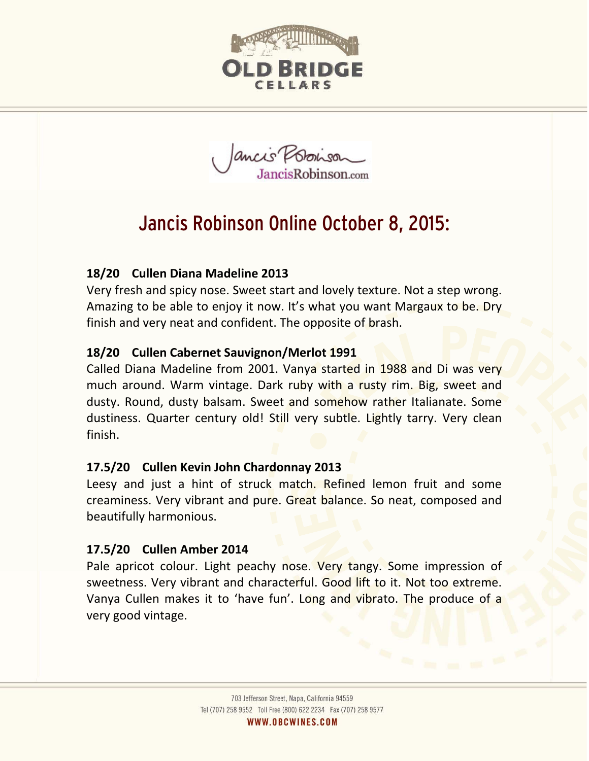

Jancis Provison

# Jancis Robinson Online October 8, 2015:

# **18/20 Cullen Diana Madeline 2013**

Very fresh and spicy nose. Sweet start and lovely texture. Not a step wrong. Amazing to be able to enjoy it now. It's what you want Margaux to be. Dry finish and very neat and confident. The opposite of brash.

## **18/20 Cullen Cabernet Sauvignon/Merlot 1991**

Called Diana Madeline from 2001. Vanya started in 1988 and Di was very much around. Warm vintage. Dark ruby with a rusty rim. Big, sweet and dusty. Round, dusty balsam. Sweet and somehow rather Italianate. Some dustiness. Quarter century old! Still very subtle. Lightly tarry. Very clean finish.

#### **17.5/20 Cullen Kevin John Chardonnay 2013**

Leesy and just a hint of struck match. Refined lemon fruit and some creaminess. Very vibrant and pure. Great balance. So neat, composed and beautifully harmonious.

#### **17.5/20 Cullen Amber 2014**

Pale apricot colour. Light peachy nose. Very tangy. Some impression of sweetness. Very vibrant and characterful. Good lift to it. Not too extreme. Vanya Cullen makes it to 'have fun'. Long and vibrato. The produce of a very good vintage.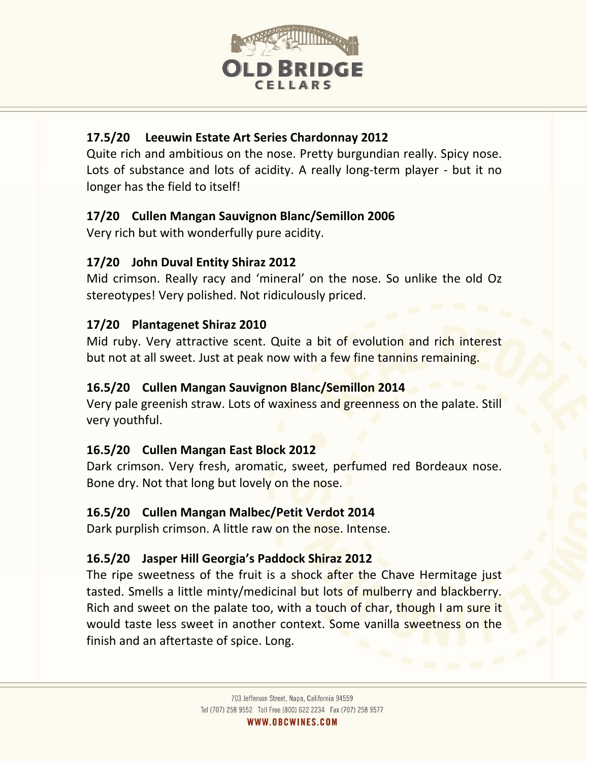

# **17.5/20 Leeuwin Estate Art Series Chardonnay 2012**

Quite rich and ambitious on the nose. Pretty burgundian really. Spicy nose. Lots of substance and lots of acidity. A really long-term player - but it no longer has the field to itself!

## **17/20 Cullen Mangan Sauvignon Blanc/Semillon 2006**

Very rich but with wonderfully pure acidity.

## **17/20 John Duval Entity Shiraz 2012**

Mid crimson. Really racy and 'mineral' on the nose. So unlike the old Oz stereotypes! Very polished. Not ridiculously priced.

# **17/20 Plantagenet Shiraz 2010**

Mid ruby. Very attractive scent. Quite a bit of evolution and rich interest but not at all sweet. Just at peak now with a few fine tannins remaining.

## **16.5/20 Cullen Mangan Sauvignon Blanc/Semillon 2014**

Very pale greenish straw. Lots of waxiness and greenness on the palate. Still very youthful.

# **16.5/20 Cullen Mangan East Block 2012**

Dark crimson. Very fresh, aromatic, sweet, perfumed red Bordeaux nose. Bone dry. Not that long but lovely on the nose.

#### **16.5/20 Cullen Mangan Malbec/Petit Verdot 2014**

Dark purplish crimson. A little raw on the nose. Intense.

# **16.5/20 Jasper Hill Georgia's Paddock Shiraz 2012**

The ripe sweetness of the fruit is a shock after the Chave Hermitage just tasted. Smells a little minty/medicinal but lots of mulberry and blackberry. Rich and sweet on the palate too, with a touch of char, though I am sure it would taste less sweet in another context. Some vanilla sweetness on the finish and an aftertaste of spice. Long.